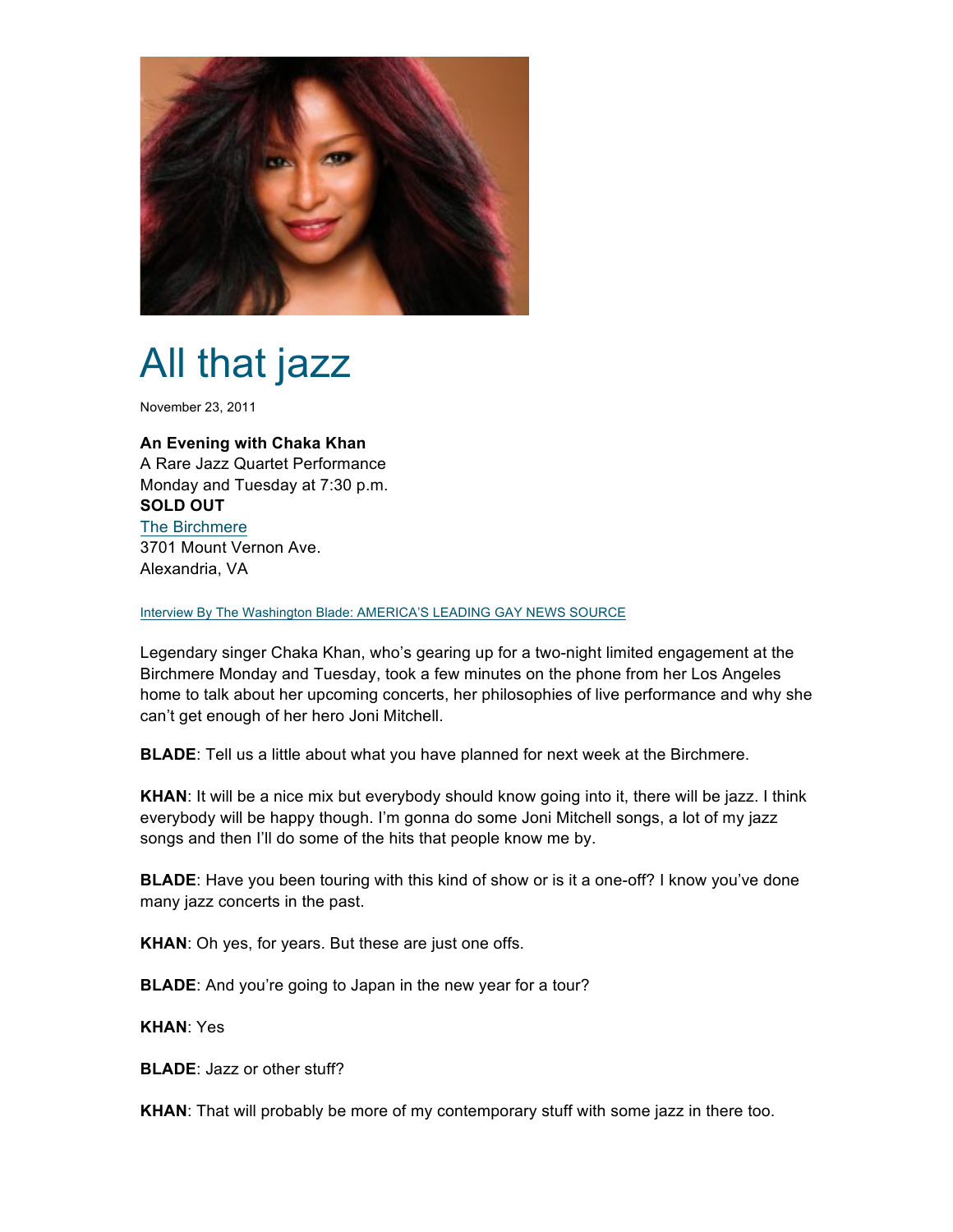

## All that jazz

November 23, 2011

## **An Evening with Chaka Khan**

A Rare Jazz Quartet Performance Monday and Tuesday at 7:30 p.m. **SOLD OUT** The Birchmere 3701 Mount Vernon Ave. Alexandria, VA

Interview By The Washington Blade: AMERICA'S LEADING GAY NEWS SOURCE

Legendary singer Chaka Khan, who's gearing up for a two-night limited engagement at the Birchmere Monday and Tuesday, took a few minutes on the phone from her Los Angeles home to talk about her upcoming concerts, her philosophies of live performance and why she can't get enough of her hero Joni Mitchell.

**BLADE**: Tell us a little about what you have planned for next week at the Birchmere.

**KHAN**: It will be a nice mix but everybody should know going into it, there will be jazz. I think everybody will be happy though. I'm gonna do some Joni Mitchell songs, a lot of my jazz songs and then I'll do some of the hits that people know me by.

**BLADE**: Have you been touring with this kind of show or is it a one-off? I know you've done many jazz concerts in the past.

**KHAN**: Oh yes, for years. But these are just one offs.

**BLADE**: And you're going to Japan in the new year for a tour?

**KHAN**: Yes

**BLADE**: Jazz or other stuff?

**KHAN**: That will probably be more of my contemporary stuff with some jazz in there too.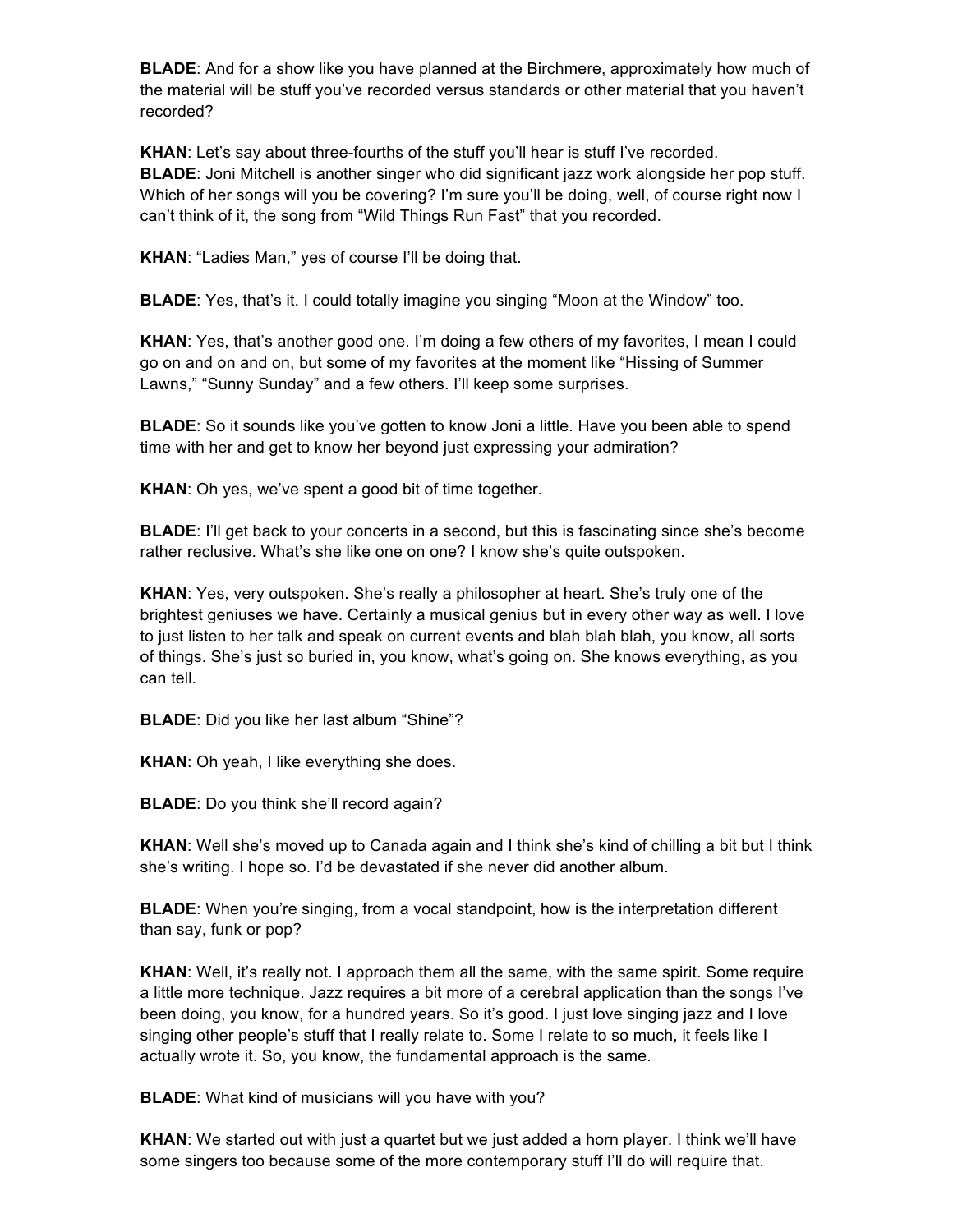**BLADE**: And for a show like you have planned at the Birchmere, approximately how much of the material will be stuff you've recorded versus standards or other material that you haven't recorded?

**KHAN**: Let's say about three-fourths of the stuff you'll hear is stuff I've recorded. **BLADE**: Joni Mitchell is another singer who did significant jazz work alongside her pop stuff. Which of her songs will you be covering? I'm sure you'll be doing, well, of course right now I can't think of it, the song from "Wild Things Run Fast" that you recorded.

**KHAN**: "Ladies Man," yes of course I'll be doing that.

**BLADE**: Yes, that's it. I could totally imagine you singing "Moon at the Window" too.

**KHAN**: Yes, that's another good one. I'm doing a few others of my favorites, I mean I could go on and on and on, but some of my favorites at the moment like "Hissing of Summer Lawns," "Sunny Sunday" and a few others. I'll keep some surprises.

**BLADE**: So it sounds like you've gotten to know Joni a little. Have you been able to spend time with her and get to know her beyond just expressing your admiration?

**KHAN**: Oh yes, we've spent a good bit of time together.

**BLADE:** I'll get back to your concerts in a second, but this is fascinating since she's become rather reclusive. What's she like one on one? I know she's quite outspoken.

**KHAN**: Yes, very outspoken. She's really a philosopher at heart. She's truly one of the brightest geniuses we have. Certainly a musical genius but in every other way as well. I love to just listen to her talk and speak on current events and blah blah blah, you know, all sorts of things. She's just so buried in, you know, what's going on. She knows everything, as you can tell.

**BLADE**: Did you like her last album "Shine"?

**KHAN**: Oh yeah, I like everything she does.

**BLADE**: Do you think she'll record again?

**KHAN**: Well she's moved up to Canada again and I think she's kind of chilling a bit but I think she's writing. I hope so. I'd be devastated if she never did another album.

**BLADE:** When you're singing, from a vocal standpoint, how is the interpretation different than say, funk or pop?

**KHAN:** Well, it's really not. I approach them all the same, with the same spirit. Some require a little more technique. Jazz requires a bit more of a cerebral application than the songs I've been doing, you know, for a hundred years. So it's good. I just love singing jazz and I love singing other people's stuff that I really relate to. Some I relate to so much, it feels like I actually wrote it. So, you know, the fundamental approach is the same.

**BLADE**: What kind of musicians will you have with you?

**KHAN**: We started out with just a quartet but we just added a horn player. I think we'll have some singers too because some of the more contemporary stuff I'll do will require that.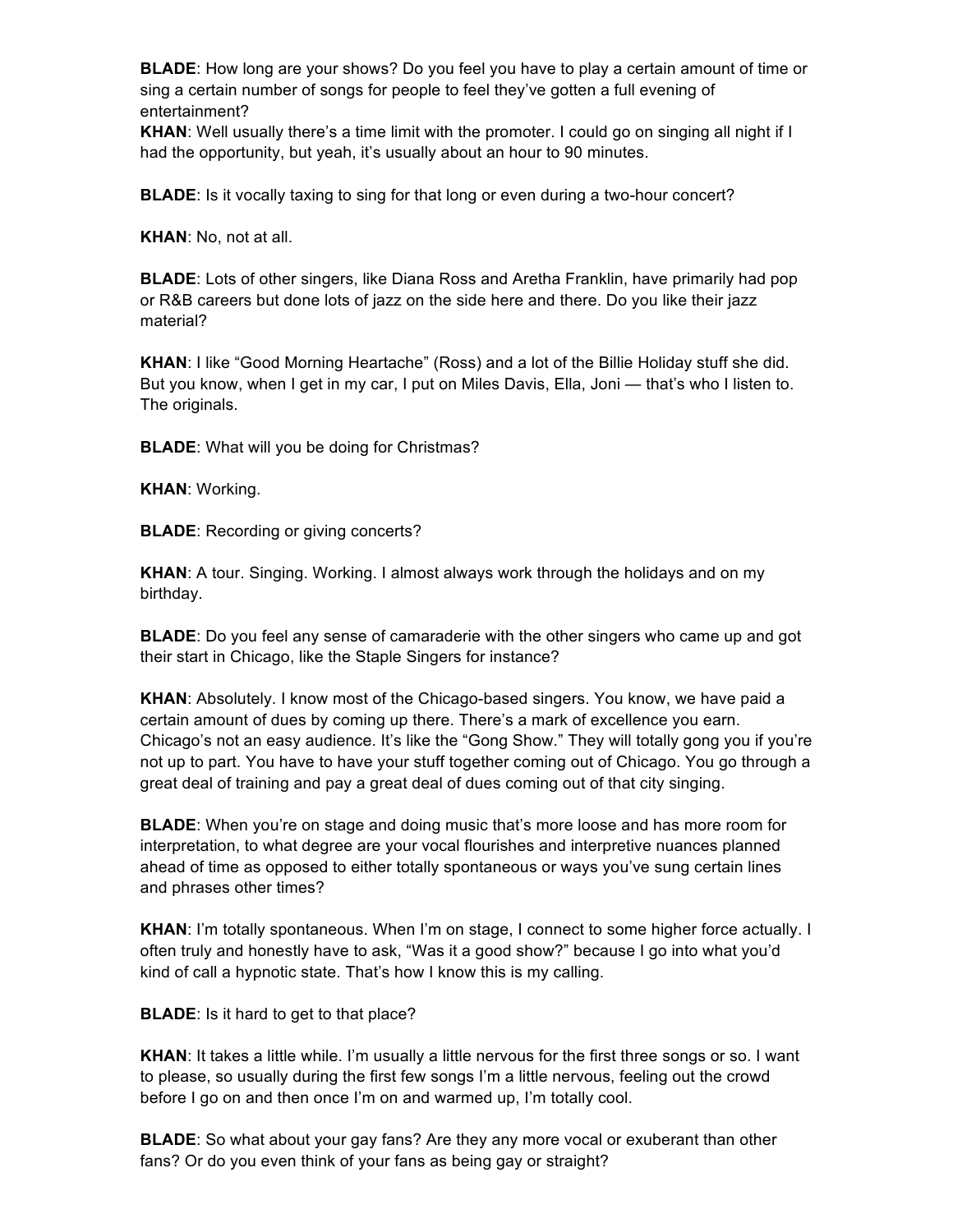**BLADE**: How long are your shows? Do you feel you have to play a certain amount of time or sing a certain number of songs for people to feel they've gotten a full evening of entertainment?

**KHAN**: Well usually there's a time limit with the promoter. I could go on singing all night if I had the opportunity, but yeah, it's usually about an hour to 90 minutes.

**BLADE**: Is it vocally taxing to sing for that long or even during a two-hour concert?

**KHAN**: No, not at all.

**BLADE**: Lots of other singers, like Diana Ross and Aretha Franklin, have primarily had pop or R&B careers but done lots of jazz on the side here and there. Do you like their jazz material?

**KHAN**: I like "Good Morning Heartache" (Ross) and a lot of the Billie Holiday stuff she did. But you know, when I get in my car, I put on Miles Davis, Ella, Joni — that's who I listen to. The originals.

**BLADE**: What will you be doing for Christmas?

**KHAN**: Working.

**BLADE**: Recording or giving concerts?

**KHAN**: A tour. Singing. Working. I almost always work through the holidays and on my birthday.

**BLADE**: Do you feel any sense of camaraderie with the other singers who came up and got their start in Chicago, like the Staple Singers for instance?

**KHAN**: Absolutely. I know most of the Chicago-based singers. You know, we have paid a certain amount of dues by coming up there. There's a mark of excellence you earn. Chicago's not an easy audience. It's like the "Gong Show." They will totally gong you if you're not up to part. You have to have your stuff together coming out of Chicago. You go through a great deal of training and pay a great deal of dues coming out of that city singing.

**BLADE**: When you're on stage and doing music that's more loose and has more room for interpretation, to what degree are your vocal flourishes and interpretive nuances planned ahead of time as opposed to either totally spontaneous or ways you've sung certain lines and phrases other times?

**KHAN:** I'm totally spontaneous. When I'm on stage, I connect to some higher force actually. I often truly and honestly have to ask, "Was it a good show?" because I go into what you'd kind of call a hypnotic state. That's how I know this is my calling.

**BLADE**: Is it hard to get to that place?

**KHAN**: It takes a little while. I'm usually a little nervous for the first three songs or so. I want to please, so usually during the first few songs I'm a little nervous, feeling out the crowd before I go on and then once I'm on and warmed up, I'm totally cool.

**BLADE**: So what about your gay fans? Are they any more vocal or exuberant than other fans? Or do you even think of your fans as being gay or straight?